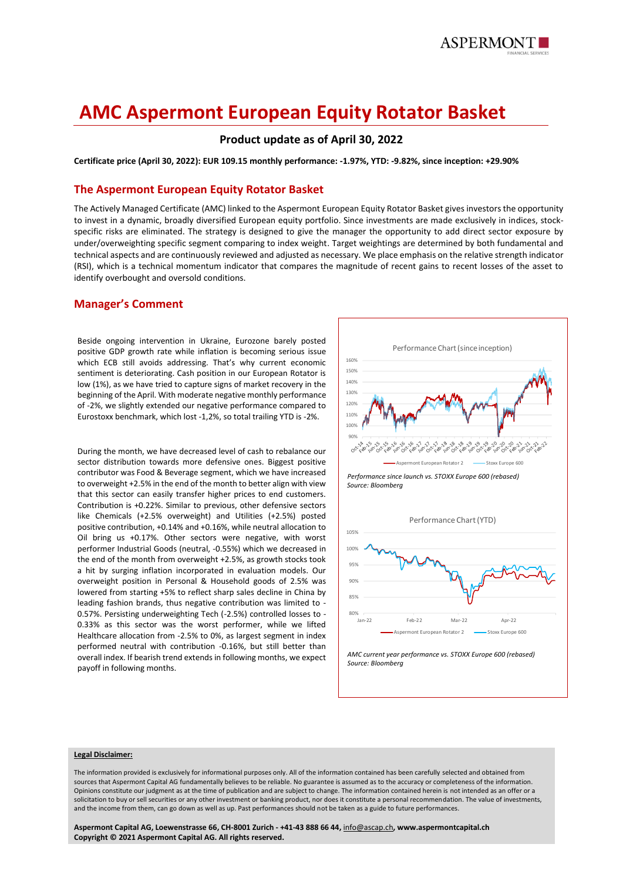

# **AMC Aspermont European Equity Rotator Basket**

# **Product update as of April 30, 2022**

**Certificate price (April 30, 2022): EUR 109.15 monthly performance: -1.97%, YTD: -9.82%, since inception: +29.90%**

### **The Aspermont European Equity Rotator Basket**

The Actively Managed Certificate (AMC) linked to the Aspermont European Equity Rotator Basket gives investors the opportunity to invest in a dynamic, broadly diversified European equity portfolio. Since investments are made exclusively in indices, stockspecific risks are eliminated. The strategy is designed to give the manager the opportunity to add direct sector exposure by under/overweighting specific segment comparing to index weight. Target weightings are determined by both fundamental and technical aspects and are continuously reviewed and adjusted as necessary. We place emphasis on the relative strength indicator (RSI), which is a technical momentum indicator that compares the magnitude of recent gains to recent losses of the asset to identify overbought and oversold conditions.

### **Manager's Comment**

Beside ongoing intervention in Ukraine, Eurozone barely posted positive GDP growth rate while inflation is becoming serious issue which ECB still avoids addressing. That's why current economic sentiment is deteriorating. Cash position in our European Rotator is low (1%), as we have tried to capture signs of market recovery in the beginning of the April. With moderate negative monthly performance of -2%, we slightly extended our negative performance compared to Eurostoxx benchmark, which lost -1,2%, so total trailing YTD is -2%.

During the month, we have decreased level of cash to rebalance our sector distribution towards more defensive ones. Biggest positive contributor was Food & Beverage segment, which we have increased to overweight +2.5% in the end of the month to better align with view that this sector can easily transfer higher prices to end customers. Contribution is +0.22%. Similar to previous, other defensive sectors like Chemicals (+2.5% overweight) and Utilities (+2.5%) posted positive contribution, +0.14% and +0.16%, while neutral allocation to Oil bring us +0.17%. Other sectors were negative, with worst performer Industrial Goods (neutral, -0.55%) which we decreased in the end of the month from overweight +2.5%, as growth stocks took a hit by surging inflation incorporated in evaluation models. Our overweight position in Personal & Household goods of 2.5% was lowered from starting +5% to reflect sharp sales decline in China by leading fashion brands, thus negative contribution was limited to - 0.57%. Persisting underweighting Tech (-2.5%) controlled losses to - 0.33% as this sector was the worst performer, while we lifted Healthcare allocation from -2.5% to 0%, as largest segment in index performed neutral with contribution -0.16%, but still better than overall index. If bearish trend extends in following months, we expect payoff in following months.



*AMC current year performance vs. STOXX Europe 600 (rebased) Source: Bloomberg*

#### **Legal Disclaimer:**

The information provided is exclusively for informational purposes only. All of the information contained has been carefully selected and obtained from sources that Aspermont Capital AG fundamentally believes to be reliable. No guarantee is assumed as to the accuracy or completeness of the information. Opinions constitute our judgment as at the time of publication and are subject to change. The information contained herein is not intended as an offer or a solicitation to buy or sell securities or any other investment or banking product, nor does it constitute a personal recommendation. The value of investments, and the income from them, can go down as well as up. Past performances should not be taken as a guide to future performances.

**Aspermont Capital AG, Loewenstrasse 66, CH-8001 Zurich - +41-43 888 66 44,** [info@ascap.ch](mailto:info@ascap.ch)**, www.aspermontcapital.ch Copyright © 2021 Aspermont Capital AG. All rights reserved.**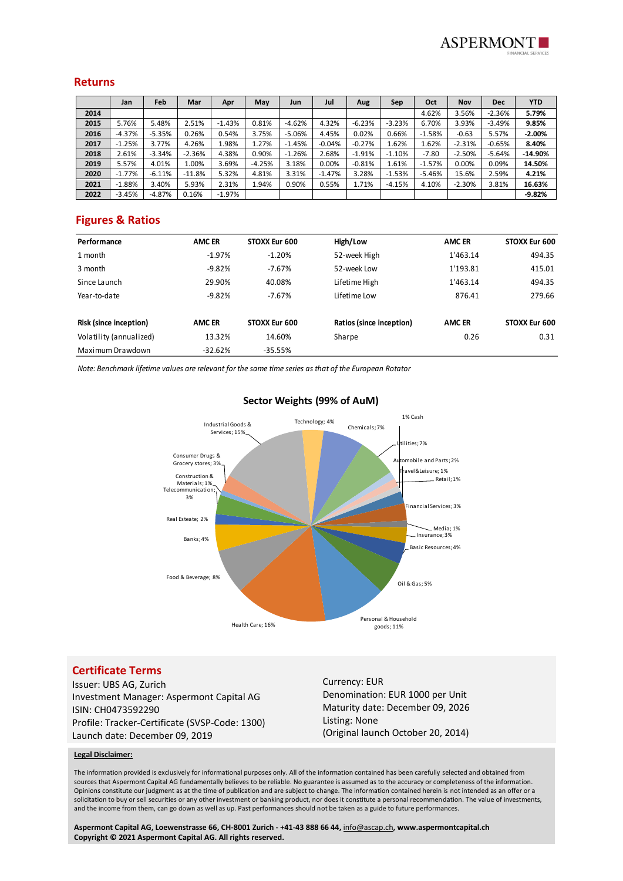

#### **Returns**

|      | Jan      | Feb      | Mar      | Apr      | May      | Jun      | Jul      | Aug      | Sep      | Oct      | <b>Nov</b> | <b>Dec</b> | <b>YTD</b> |
|------|----------|----------|----------|----------|----------|----------|----------|----------|----------|----------|------------|------------|------------|
| 2014 |          |          |          |          |          |          |          |          |          | 4.62%    | 3.56%      | $-2.36%$   | 5.79%      |
| 2015 | 5.76%    | 5.48%    | 2.51%    | $-1.43%$ | 0.81%    | $-4.62%$ | 4.32%    | $-6.23%$ | $-3.23%$ | 6.70%    | 3.93%      | $-3.49%$   | 9.85%      |
| 2016 | $-4.37%$ | $-5.35%$ | 0.26%    | 0.54%    | 3.75%    | $-5.06%$ | 4.45%    | 0.02%    | 0.66%    | $-1.58%$ | $-0.63$    | 5.57%      | $-2.00%$   |
| 2017 | $-1.25%$ | 3.77%    | 4.26%    | 1.98%    | 1.27%    | $-1.45%$ | $-0.04%$ | $-0.27%$ | 1.62%    | 1.62%    | $-2.31%$   | $-0.65%$   | 8.40%      |
| 2018 | 2.61%    | $-3.34%$ | $-2.36%$ | 4.38%    | 0.90%    | $-1.26%$ | 2.68%    | $-1.91%$ | $-1.10%$ | $-7.80$  | $-2.50%$   | $-5.64%$   | $-14.90%$  |
| 2019 | 5.57%    | 4.01%    | 1.00%    | 3.69%    | $-4.25%$ | 3.18%    | 0.00%    | $-0.81%$ | 1.61%    | $-1.57%$ | 0.00%      | 0.09%      | 14.50%     |
| 2020 | $-1.77%$ | $-6.11%$ | $-11.8%$ | 5.32%    | 4.81%    | 3.31%    | $-1.47%$ | 3.28%    | $-1.53%$ | $-5.46%$ | 15.6%      | 2.59%      | 4.21%      |
| 2021 | $-1.88%$ | 3.40%    | 5.93%    | 2.31%    | 1.94%    | 0.90%    | 0.55%    | 1.71%    | $-4.15%$ | 4.10%    | $-2.30%$   | 3.81%      | 16.63%     |
| 2022 | $-3.45%$ | $-4.87%$ | 0.16%    | $-1.97%$ |          |          |          |          |          |          |            |            | $-9.82%$   |

## **Figures & Ratios**

| Performance             | <b>AMC ER</b> | STOXX Eur 600 | High/Low                 | <b>AMC ER</b> | STOXX Eur 600 |
|-------------------------|---------------|---------------|--------------------------|---------------|---------------|
| 1 month                 | $-1.97%$      | $-1.20%$      | 52-week High             | 1'463.14      | 494.35        |
| 3 month                 | $-9.82%$      | $-7.67%$      | 52-week Low              | 1'193.81      | 415.01        |
| Since Launch            | 29.90%        | 40.08%        | Lifetime High            | 1'463.14      | 494.35        |
| Year-to-date            | $-9.82%$      | $-7.67%$      | Lifetime Low             | 876.41        | 279.66        |
| Risk (since inception)  | <b>AMC ER</b> | STOXX Eur 600 | Ratios (since inception) | <b>AMC ER</b> | STOXX Eur 600 |
| Volatility (annualized) | 13.32%        | 14.60%        | Sharpe                   | 0.26          | 0.31          |
| Maximum Drawdown        | $-32.62%$     | $-35.55%$     |                          |               |               |

*Note: Benchmark lifetime values are relevant for the same time series as that of the European Rotator*



# **Certificate Terms**

Issuer: UBS AG, Zurich Investment Manager: Aspermont Capital AG ISIN: CH0473592290 Profile: Tracker-Certificate (SVSP-Code: 1300) Launch date: December 09, 2019

Currency: EUR Denomination: EUR 1000 per Unit Maturity date: December 09, 2026 Listing: None (Original launch October 20, 2014)

#### **Legal Disclaimer:**

The information provided is exclusively for informational purposes only. All of the information contained has been carefully selected and obtained from sources that Aspermont Capital AG fundamentally believes to be reliable. No guarantee is assumed as to the accuracy or completeness of the information. Opinions constitute our judgment as at the time of publication and are subject to change. The information contained herein is not intended as an offer or a solicitation to buy or sell securities or any other investment or banking product, nor does it constitute a personal recommendation. The value of investments, and the income from them, can go down as well as up. Past performances should not be taken as a guide to future performances.

**Aspermont Capital AG, Loewenstrasse 66, CH-8001 Zurich - +41-43 888 66 44,** [info@ascap.ch](mailto:info@ascap.ch)**, www.aspermontcapital.ch Copyright © 2021 Aspermont Capital AG. All rights reserved.**